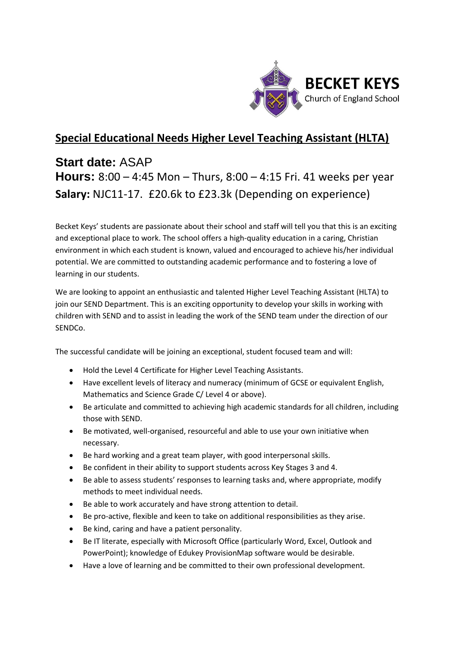

## **Special Educational Needs Higher Level Teaching Assistant (HLTA)**

# **Start date:** ASAP **Hours:** 8:00 – 4:45 Mon – Thurs, 8:00 – 4:15 Fri. 41 weeks per year **Salary:** NJC11-17. £20.6k to £23.3k (Depending on experience)

Becket Keys' students are passionate about their school and staff will tell you that this is an exciting and exceptional place to work. The school offers a high-quality education in a caring, Christian environment in which each student is known, valued and encouraged to achieve his/her individual potential. We are committed to outstanding academic performance and to fostering a love of learning in our students.

We are looking to appoint an enthusiastic and talented Higher Level Teaching Assistant (HLTA) to join our SEND Department. This is an exciting opportunity to develop your skills in working with children with SEND and to assist in leading the work of the SEND team under the direction of our SENDCo.

The successful candidate will be joining an exceptional, student focused team and will:

- Hold the Level 4 Certificate for Higher Level Teaching Assistants.
- Have excellent levels of literacy and numeracy (minimum of GCSE or equivalent English, Mathematics and Science Grade C/ Level 4 or above).
- Be articulate and committed to achieving high academic standards for all children, including those with SEND.
- Be motivated, well-organised, resourceful and able to use your own initiative when necessary.
- Be hard working and a great team player, with good interpersonal skills.
- Be confident in their ability to support students across Key Stages 3 and 4.
- Be able to assess students' responses to learning tasks and, where appropriate, modify methods to meet individual needs.
- Be able to work accurately and have strong attention to detail.
- Be pro-active, flexible and keen to take on additional responsibilities as they arise.
- Be kind, caring and have a patient personality.
- Be IT literate, especially with Microsoft Office (particularly Word, Excel, Outlook and PowerPoint); knowledge of Edukey ProvisionMap software would be desirable.
- Have a love of learning and be committed to their own professional development.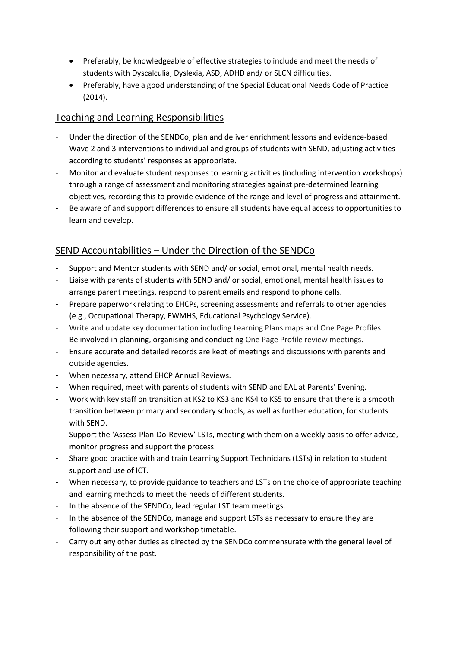- Preferably, be knowledgeable of effective strategies to include and meet the needs of students with Dyscalculia, Dyslexia, ASD, ADHD and/ or SLCN difficulties.
- Preferably, have a good understanding of the Special Educational Needs Code of Practice (2014).

### Teaching and Learning Responsibilities

- Under the direction of the SENDCo, plan and deliver enrichment lessons and evidence-based Wave 2 and 3 interventions to individual and groups of students with SEND, adjusting activities according to students' responses as appropriate.
- Monitor and evaluate student responses to learning activities (including intervention workshops) through a range of assessment and monitoring strategies against pre-determined learning objectives, recording this to provide evidence of the range and level of progress and attainment.
- Be aware of and support differences to ensure all students have equal access to opportunities to learn and develop.

### SEND Accountabilities – Under the Direction of the SENDCo

- Support and Mentor students with SEND and/ or social, emotional, mental health needs.
- Liaise with parents of students with SEND and/ or social, emotional, mental health issues to arrange parent meetings, respond to parent emails and respond to phone calls.
- Prepare paperwork relating to EHCPs, screening assessments and referrals to other agencies (e.g., Occupational Therapy, EWMHS, Educational Psychology Service).
- Write and update key documentation including Learning Plans maps and One Page Profiles.
- Be involved in planning, organising and conducting One Page Profile review meetings.
- Ensure accurate and detailed records are kept of meetings and discussions with parents and outside agencies.
- When necessary, attend EHCP Annual Reviews.
- When required, meet with parents of students with SEND and EAL at Parents' Evening.
- Work with key staff on transition at KS2 to KS3 and KS4 to KS5 to ensure that there is a smooth transition between primary and secondary schools, as well as further education, for students with SEND.
- Support the 'Assess-Plan-Do-Review' LSTs, meeting with them on a weekly basis to offer advice, monitor progress and support the process.
- Share good practice with and train Learning Support Technicians (LSTs) in relation to student support and use of ICT.
- When necessary, to provide guidance to teachers and LSTs on the choice of appropriate teaching and learning methods to meet the needs of different students.
- In the absence of the SENDCo, lead regular LST team meetings.
- In the absence of the SENDCo, manage and support LSTs as necessary to ensure they are following their support and workshop timetable.
- Carry out any other duties as directed by the SENDCo commensurate with the general level of responsibility of the post.